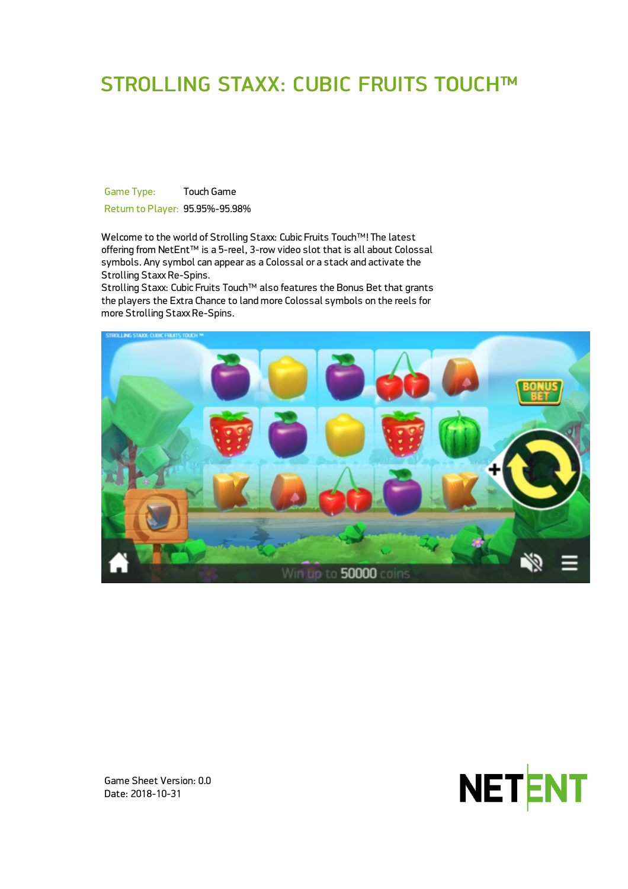# STROLLING STAXX: CUBIC FRUITS TOUCH™

Game Type: Touch Game Return to Player: 95.95%-95.98%

Welcome to the world of Strolling Staxx: Cubic Fruits Touch™! The latest offering from NetEnt™ is a 5-reel, 3-row video slot that is all about Colossal symbols. Any symbol can appear as a Colossal or a stack and activate the Strolling Staxx Re-Spins.

Strolling Staxx: Cubic Fruits Touch™ also features the Bonus Bet that grants the players the Extra Chance to land more Colossal symbols on the reels for more Strolling Staxx Re-Spins.





Game Sheet Version: 0.0 Date: 2018-10-31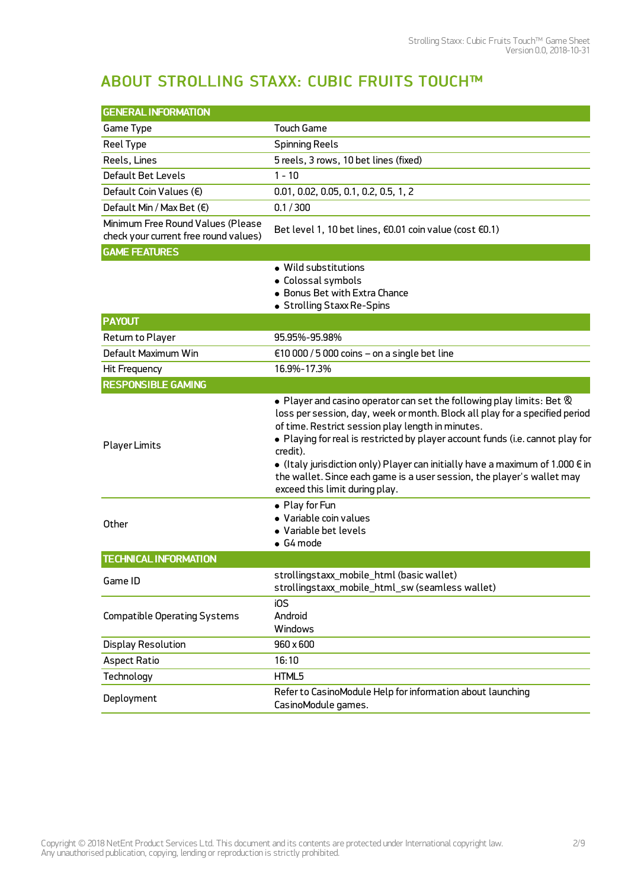## ABOUT STROLLING STAXX: CUBIC FRUITS TOUCH™

| <b>GENERAL INFORMATION</b>                                                 |                                                                                                                                                                                                                                                                                                                                                                                                                                                                                                                                  |
|----------------------------------------------------------------------------|----------------------------------------------------------------------------------------------------------------------------------------------------------------------------------------------------------------------------------------------------------------------------------------------------------------------------------------------------------------------------------------------------------------------------------------------------------------------------------------------------------------------------------|
| Game Type                                                                  | <b>Touch Game</b>                                                                                                                                                                                                                                                                                                                                                                                                                                                                                                                |
| Reel Type                                                                  | <b>Spinning Reels</b>                                                                                                                                                                                                                                                                                                                                                                                                                                                                                                            |
| Reels, Lines                                                               | 5 reels, 3 rows, 10 bet lines (fixed)                                                                                                                                                                                                                                                                                                                                                                                                                                                                                            |
| <b>Default Bet Levels</b>                                                  | $1 - 10$                                                                                                                                                                                                                                                                                                                                                                                                                                                                                                                         |
| Default Coin Values (€)                                                    | 0.01, 0.02, 0.05, 0.1, 0.2, 0.5, 1, 2                                                                                                                                                                                                                                                                                                                                                                                                                                                                                            |
| Default Min / Max Bet $(\epsilon)$                                         | 0.1 / 300                                                                                                                                                                                                                                                                                                                                                                                                                                                                                                                        |
| Minimum Free Round Values (Please<br>check your current free round values) | Bet level 1, 10 bet lines, €0.01 coin value (cost €0.1)                                                                                                                                                                                                                                                                                                                                                                                                                                                                          |
| <b>GAME FEATURES</b>                                                       |                                                                                                                                                                                                                                                                                                                                                                                                                                                                                                                                  |
|                                                                            | • Wild substitutions<br>• Colossal symbols<br>• Bonus Bet with Extra Chance<br>• Strolling Staxx Re-Spins                                                                                                                                                                                                                                                                                                                                                                                                                        |
| <b>PAYOUT</b>                                                              |                                                                                                                                                                                                                                                                                                                                                                                                                                                                                                                                  |
| Return to Player                                                           | 95.95%-95.98%                                                                                                                                                                                                                                                                                                                                                                                                                                                                                                                    |
| Default Maximum Win                                                        | $\epsilon$ 10 000 / 5 000 coins – on a single bet line                                                                                                                                                                                                                                                                                                                                                                                                                                                                           |
| Hit Frequency                                                              | 16.9%-17.3%                                                                                                                                                                                                                                                                                                                                                                                                                                                                                                                      |
| <b>RESPONSIBLE GAMING</b>                                                  |                                                                                                                                                                                                                                                                                                                                                                                                                                                                                                                                  |
| <b>Player Limits</b>                                                       | $\bullet$ Player and casino operator can set the following play limits: Bet $\otimes$<br>loss per session, day, week or month. Block all play for a specified period<br>of time. Restrict session play length in minutes.<br>. Playing for real is restricted by player account funds (i.e. cannot play for<br>credit).<br>$\bullet$ (Italy jurisdiction only) Player can initially have a maximum of 1.000 $\in$ in<br>the wallet. Since each game is a user session, the player's wallet may<br>exceed this limit during play. |
| Other                                                                      | • Play for Fun<br>• Variable coin values<br>• Variable bet levels<br>$\bullet$ G4 mode                                                                                                                                                                                                                                                                                                                                                                                                                                           |
| <b>TECHNICAL INFORMATION</b>                                               |                                                                                                                                                                                                                                                                                                                                                                                                                                                                                                                                  |
| Game ID                                                                    | strollingstaxx mobile html (basic wallet)<br>strollingstaxx_mobile_html_sw (seamless wallet)                                                                                                                                                                                                                                                                                                                                                                                                                                     |
| <b>Compatible Operating Systems</b>                                        | iOS<br>Android<br>Windows                                                                                                                                                                                                                                                                                                                                                                                                                                                                                                        |
| <b>Display Resolution</b>                                                  | 960 x 600                                                                                                                                                                                                                                                                                                                                                                                                                                                                                                                        |
| <b>Aspect Ratio</b>                                                        | 16:10                                                                                                                                                                                                                                                                                                                                                                                                                                                                                                                            |
| Technology                                                                 | HTML5                                                                                                                                                                                                                                                                                                                                                                                                                                                                                                                            |
| Deployment                                                                 | Refer to CasinoModule Help for information about launching<br>CasinoModule games.                                                                                                                                                                                                                                                                                                                                                                                                                                                |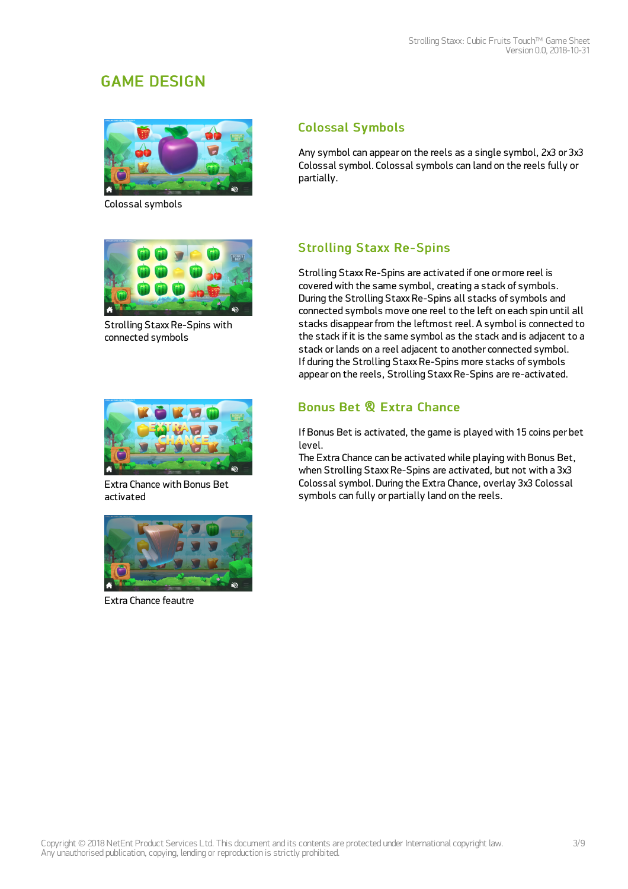## GAME DESIGN



Colossal symbols



Strolling Staxx Re-Spins with connected symbols



Extra Chance with Bonus Bet activated



Extra Chance feautre

### Colossal Symbols

Any symbol can appear on the reels as a single symbol, 2x3 or 3x3 Colossal symbol. Colossal symbols can land on the reels fully or partially.

### Strolling Staxx Re-Spins

Strolling Staxx Re-Spins are activated if one or more reel is covered with the same symbol, creating a stack of symbols. During the Strolling Staxx Re-Spins all stacks of symbols and connected symbols move one reel to the left on each spin until all stacks disappear from the leftmost reel. A symbol is connected to the stack if it is the same symbol as the stack and is adjacent to a stack or lands on a reel adjacent to another connected symbol. If during the Strolling Staxx Re-Spins more stacks of symbols appear on the reels, Strolling Staxx Re-Spins are re-activated.

### Bonus Bet & Extra Chance

If Bonus Bet is activated, the game is played with 15 coins per bet level.

The Extra Chance can be activated while playing with Bonus Bet, when Strolling Staxx Re-Spins are activated, but not with a 3x3 Colossal symbol. During the Extra Chance, overlay 3x3 Colossal symbols can fully or partially land on the reels.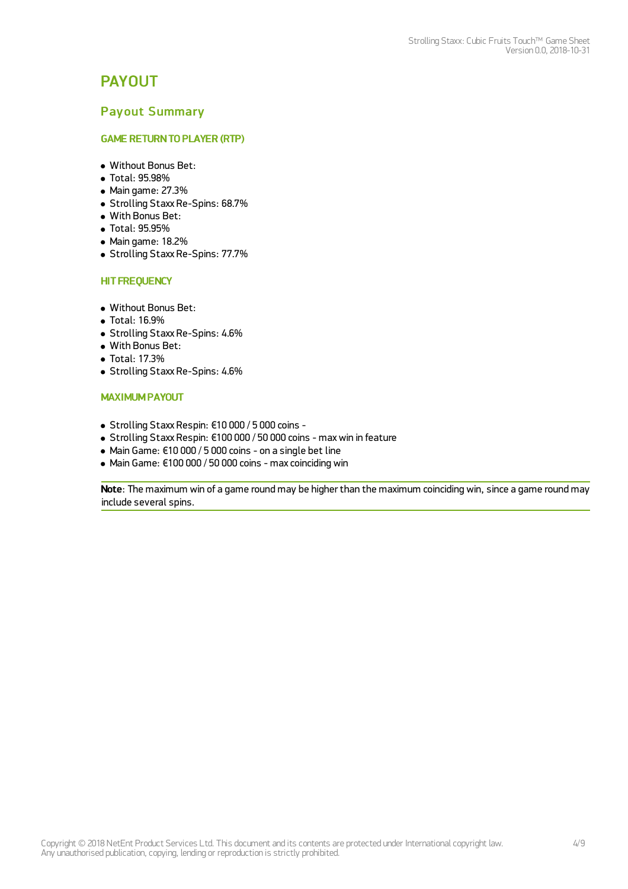## **PAYOUT**

#### Payout Summary

#### GAME RETURNTO PLAYER (RTP)

- Without Bonus Bet:
- Total: 95.98%
- Main game: 27.3%
- Strolling Staxx Re-Spins: 68.7%
- With Bonus Bet:
- Total: 95.95%
- Main game: 18.2%
- Strolling Staxx Re-Spins: 77.7%

#### **HIT FREQUENCY**

- Without Bonus Bet:
- Total: 16.9%
- Strolling Staxx Re-Spins: 4.6%
- With Bonus Bet:
- Total: 17.3%
- Strolling Staxx Re-Spins: 4.6%

#### MAXIMUM PAYOUT

- Strolling Staxx Respin: €10 000 / 5 000 coins -
- Strolling Staxx Respin: €100 000 / 50 000 coins maxwin in feature
- Main Game: €10 000 / 5 000 coins on a single bet line
- Main Game: €100 000 / 50 000 coins max coinciding win

Note: The maximum win of a game round may be higher than the maximum coinciding win, since a game round may include several spins.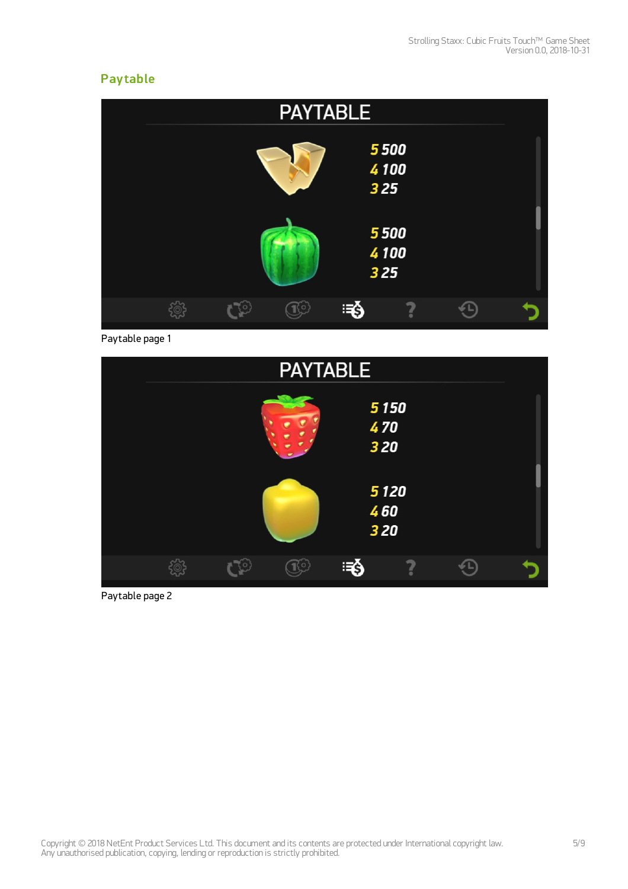### **Pay table**

| <b>PAYTABLE</b>     |  |
|---------------------|--|
| 5500<br>4100<br>325 |  |
| 5500<br>4100<br>325 |  |
| ె§                  |  |

Paytable page 1



Paytable page 2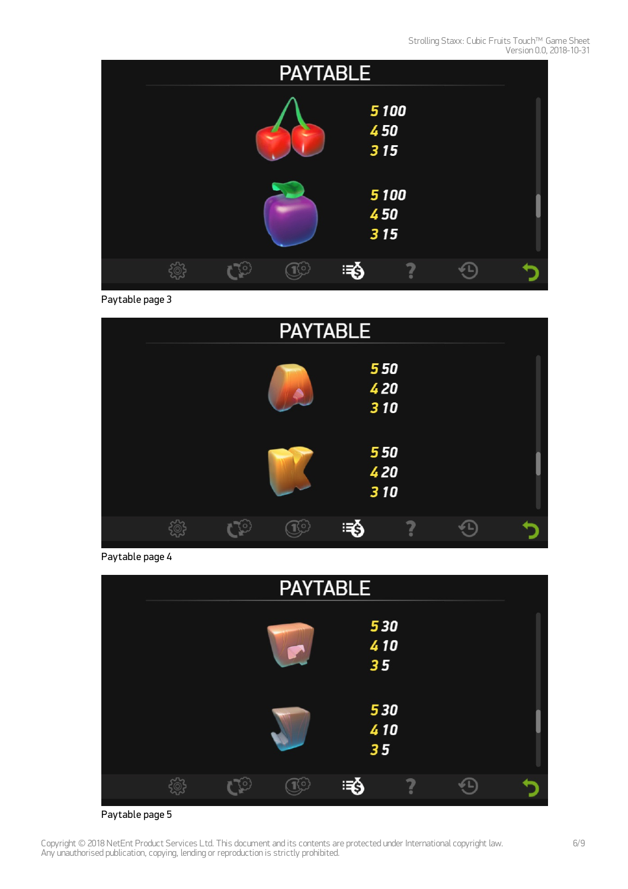

Paytable page 3



Paytable page 4

| <b>PAYTABLE</b> |                     |   |     |                  |   |  |  |
|-----------------|---------------------|---|-----|------------------|---|--|--|
|                 |                     |   |     | 530<br>410<br>35 |   |  |  |
|                 |                     |   |     | 530<br>410<br>35 |   |  |  |
|                 | $\widetilde{\circ}$ | O | 100 | ு§               | ? |  |  |

Paytable page 5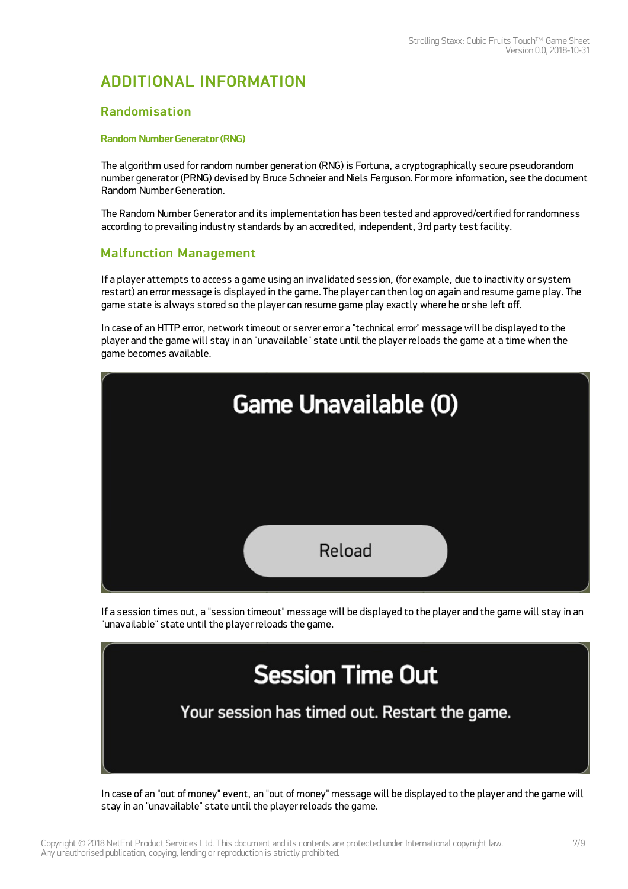## ADDITIONAL INFORMATION

#### Randomisation

#### Random Number Generator (RNG)

The algorithm used for random number generation (RNG) is Fortuna, a cryptographically secure pseudorandom number generator (PRNG) devised by Bruce Schneier and Niels Ferguson. For more information, see the document Random Number Generation.

The Random Number Generator and its implementation has been tested and approved/certified for randomness according to prevailing industry standards by an accredited, independent, 3rd party test facility.

### Malfunction Management

If a player attempts to access a game using an invalidated session, (for example, due to inactivity or system restart) an error message is displayed in the game. The player can then log on again and resume game play. The game state is always stored so the player can resume game play exactly where he or she left off.

In case of an HTTP error, network timeout or server error a "technical error" message will be displayed to the player and the game will stay in an "unavailable" state until the player reloads the game at a time when the game becomes available.



If a session times out, a "session timeout" message will be displayed to the player and the game will stay in an "unavailable" state until the player reloads the game.



In case of an "out of money" event, an "out of money" message will be displayed to the player and the game will stay in an "unavailable" state until the player reloads the game.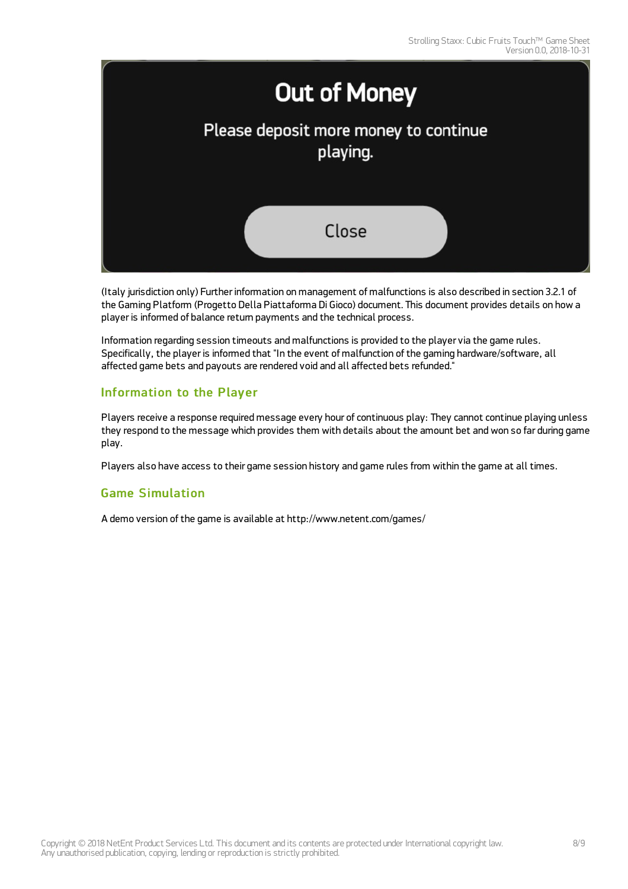

(Italy jurisdiction only) Further information on management of malfunctions is also described in section 3.2.1 of the Gaming Platform (Progetto Della Piattaforma Di Gioco) document. This document provides details on how a player is informed of balance return payments and the technical process.

Information regarding session timeouts and malfunctions is provided to the player via the game rules. Specifically, the player is informed that "In the event of malfunction of the gaming hardware/software, all affected game bets and payouts are rendered void and all affected bets refunded."

### Information to the Player

Players receive a response required message every hour of continuous play: They cannot continue playing unless they respond to the message which provides them with details about the amount bet and won so far during game play.

Players also have access to their game session history and game rules from within the game at all times.

### Game Simulation

A demo version of the game is available at <http://www.netent.com/games/>